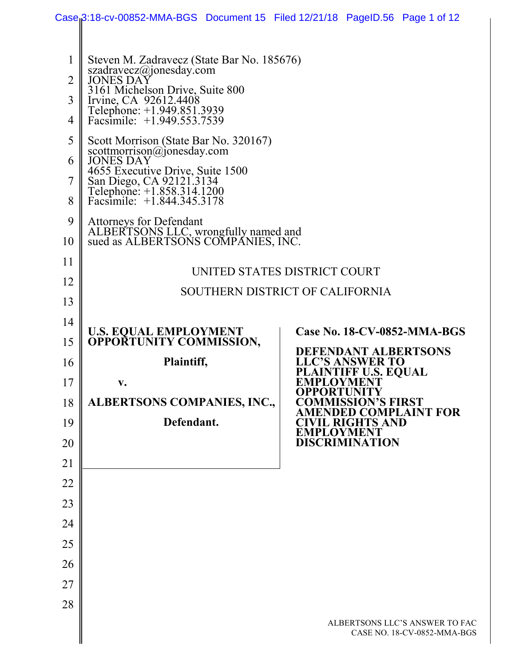|                                                   | Case <sub>i</sub> 3:18-cv-00852-MMA-BGS Document 15 Filed 12/21/18 PageID.56 Page 1 of 12                                                                                                                                                                                                                                                                                                                                                  |                                                                     |  |  |
|---------------------------------------------------|--------------------------------------------------------------------------------------------------------------------------------------------------------------------------------------------------------------------------------------------------------------------------------------------------------------------------------------------------------------------------------------------------------------------------------------------|---------------------------------------------------------------------|--|--|
| 1<br>$\overline{2}$<br>3<br>4<br>5<br>6<br>7<br>8 | Steven M. Zadravecz (State Bar No. 185676)<br>szadravecz@jonesday.com<br><b>JONES DAY</b><br>3161 Michelson Drive, Suite 800<br>Irvine, CA 92612.4408<br>Telephone: +1.949.851.3939<br>Facsimile: $+1.949.553.7539$<br>Scott Morrison (State Bar No. 320167)<br>scottmorrison@jonesday.com<br><b>JONES DAY</b><br>4655 Executive Drive, Suite 1500<br>San Diego, CA 92121.3134<br>Telephone: +1.858.314.1200<br>Facsimile: +1.844.345.3178 |                                                                     |  |  |
| 9<br>10                                           | <b>Attorneys for Defendant</b><br>ALBERTSONS LLC, wrongfully named and<br>sued as ALBERTSONS COMPANIES, INC.                                                                                                                                                                                                                                                                                                                               |                                                                     |  |  |
| 11                                                |                                                                                                                                                                                                                                                                                                                                                                                                                                            |                                                                     |  |  |
| 12                                                | UNITED STATES DISTRICT COURT                                                                                                                                                                                                                                                                                                                                                                                                               |                                                                     |  |  |
| 13                                                | SOUTHERN DISTRICT OF CALIFORNIA                                                                                                                                                                                                                                                                                                                                                                                                            |                                                                     |  |  |
| 14                                                |                                                                                                                                                                                                                                                                                                                                                                                                                                            |                                                                     |  |  |
| 15                                                | <b>U.S. EQUAL EMPLOYMENT</b><br><b>OPPORTUNITY COMMISSION,</b>                                                                                                                                                                                                                                                                                                                                                                             | <b>Case No. 18-CV-0852-MMA-BGS</b>                                  |  |  |
| 16                                                | Plaintiff,                                                                                                                                                                                                                                                                                                                                                                                                                                 | <b>DEFENDANT ALBERTSONS</b><br><b>LLC'S ANSWER TO</b>               |  |  |
| 17                                                | $\mathbf{v}$ .                                                                                                                                                                                                                                                                                                                                                                                                                             | <b>PLAINTIFF U.S. EQUAL</b><br><b>EMPLOYMENT</b>                    |  |  |
| 18                                                | ALBERTSONS COMPANIES, INC.,                                                                                                                                                                                                                                                                                                                                                                                                                | <b>OPPORTUNITY</b><br><b>COMMISSION'S FIRST</b>                     |  |  |
| 19                                                | Defendant.                                                                                                                                                                                                                                                                                                                                                                                                                                 | <b>AMENDED COMPLAINT FOR</b><br>VIL RIGHTS AND<br><b>EMPLOYMENT</b> |  |  |
| 20                                                |                                                                                                                                                                                                                                                                                                                                                                                                                                            | <b>DISCRIMINATION</b>                                               |  |  |
| 21                                                |                                                                                                                                                                                                                                                                                                                                                                                                                                            |                                                                     |  |  |
| 22                                                |                                                                                                                                                                                                                                                                                                                                                                                                                                            |                                                                     |  |  |
| 23                                                |                                                                                                                                                                                                                                                                                                                                                                                                                                            |                                                                     |  |  |
| 24                                                |                                                                                                                                                                                                                                                                                                                                                                                                                                            |                                                                     |  |  |
| 25                                                |                                                                                                                                                                                                                                                                                                                                                                                                                                            |                                                                     |  |  |
| 26                                                |                                                                                                                                                                                                                                                                                                                                                                                                                                            |                                                                     |  |  |
| 27                                                |                                                                                                                                                                                                                                                                                                                                                                                                                                            |                                                                     |  |  |
| 28                                                |                                                                                                                                                                                                                                                                                                                                                                                                                                            |                                                                     |  |  |
|                                                   |                                                                                                                                                                                                                                                                                                                                                                                                                                            | ALBERTSONS LLC'S ANSWER TO FAC<br>CASE NO. 18-CV-0852-MMA-BGS       |  |  |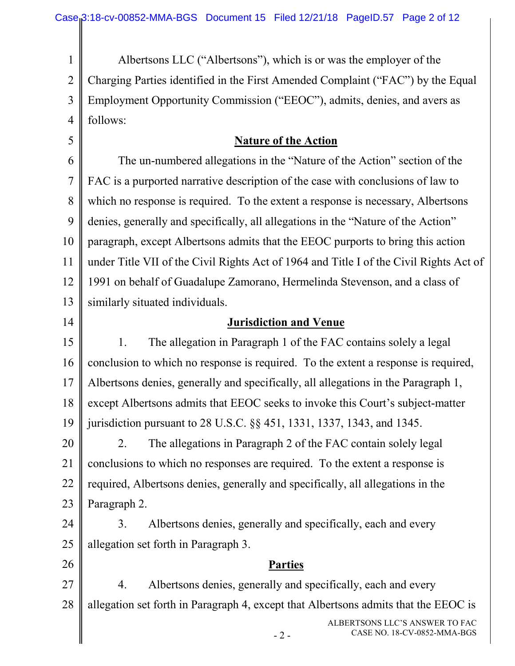1 2 3 4 5 6 7 8 9 10 11 12 13 14 15 16 17 18 19 20 21 22 23 24 25 26 27 28 Albertsons LLC ("Albertsons"), which is or was the employer of the Charging Parties identified in the First Amended Complaint ("FAC") by the Equal Employment Opportunity Commission ("EEOC"), admits, denies, and avers as follows: **Nature of the Action** The un-numbered allegations in the "Nature of the Action" section of the FAC is a purported narrative description of the case with conclusions of law to which no response is required. To the extent a response is necessary, Albertsons denies, generally and specifically, all allegations in the "Nature of the Action" paragraph, except Albertsons admits that the EEOC purports to bring this action under Title VII of the Civil Rights Act of 1964 and Title I of the Civil Rights Act of 1991 on behalf of Guadalupe Zamorano, Hermelinda Stevenson, and a class of similarly situated individuals. **Jurisdiction and Venue** 1. The allegation in Paragraph 1 of the FAC contains solely a legal conclusion to which no response is required. To the extent a response is required, Albertsons denies, generally and specifically, all allegations in the Paragraph 1, except Albertsons admits that EEOC seeks to invoke this Court's subject-matter jurisdiction pursuant to 28 U.S.C. §§ 451, 1331, 1337, 1343, and 1345. 2. The allegations in Paragraph 2 of the FAC contain solely legal conclusions to which no responses are required. To the extent a response is required, Albertsons denies, generally and specifically, all allegations in the Paragraph 2. 3. Albertsons denies, generally and specifically, each and every allegation set forth in Paragraph 3. **Parties** 4. Albertsons denies, generally and specifically, each and every allegation set forth in Paragraph 4, except that Albertsons admits that the EEOC is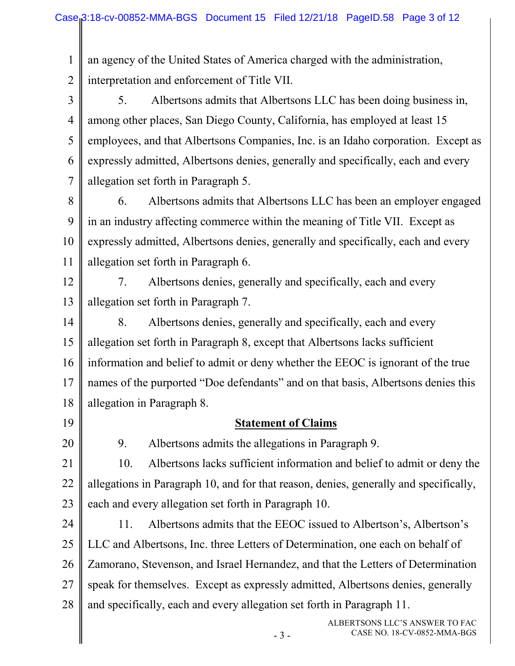1 an agency of the United States of America charged with the administration,

2 interpretation and enforcement of Title VII.

3 4 5 6 7 5. Albertsons admits that Albertsons LLC has been doing business in, among other places, San Diego County, California, has employed at least 15 employees, and that Albertsons Companies, Inc. is an Idaho corporation. Except as expressly admitted, Albertsons denies, generally and specifically, each and every allegation set forth in Paragraph 5.

- 8 9 10 11 6. Albertsons admits that Albertsons LLC has been an employer engaged in an industry affecting commerce within the meaning of Title VII. Except as expressly admitted, Albertsons denies, generally and specifically, each and every allegation set forth in Paragraph 6.
- 12 13 7. Albertsons denies, generally and specifically, each and every allegation set forth in Paragraph 7.

14 15 16 17 18 8. Albertsons denies, generally and specifically, each and every allegation set forth in Paragraph 8, except that Albertsons lacks sufficient information and belief to admit or deny whether the EEOC is ignorant of the true names of the purported "Doe defendants" and on that basis, Albertsons denies this allegation in Paragraph 8.

19

## **Statement of Claims**

20

9. Albertsons admits the allegations in Paragraph 9.

21 22 23 10. Albertsons lacks sufficient information and belief to admit or deny the allegations in Paragraph 10, and for that reason, denies, generally and specifically, each and every allegation set forth in Paragraph 10.

24 25 26 27 28 11. Albertsons admits that the EEOC issued to Albertson's, Albertson's LLC and Albertsons, Inc. three Letters of Determination, one each on behalf of Zamorano, Stevenson, and Israel Hernandez, and that the Letters of Determination speak for themselves. Except as expressly admitted, Albertsons denies, generally and specifically, each and every allegation set forth in Paragraph 11.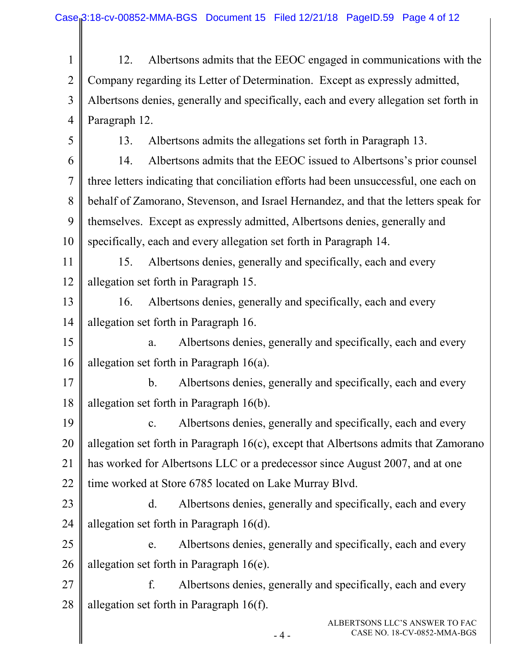ALBERTSONS LLC'S ANSWER TO FAC 1 2 3 4 5 6 7 8 9 10 11 12 13 14 15 16 17 18 19 20 21 22 23 24 25 26 27 28 12. Albertsons admits that the EEOC engaged in communications with the Company regarding its Letter of Determination. Except as expressly admitted, Albertsons denies, generally and specifically, each and every allegation set forth in Paragraph 12. 13. Albertsons admits the allegations set forth in Paragraph 13. 14. Albertsons admits that the EEOC issued to Albertsons's prior counsel three letters indicating that conciliation efforts had been unsuccessful, one each on behalf of Zamorano, Stevenson, and Israel Hernandez, and that the letters speak for themselves. Except as expressly admitted, Albertsons denies, generally and specifically, each and every allegation set forth in Paragraph 14. 15. Albertsons denies, generally and specifically, each and every allegation set forth in Paragraph 15. 16. Albertsons denies, generally and specifically, each and every allegation set forth in Paragraph 16. a. Albertsons denies, generally and specifically, each and every allegation set forth in Paragraph 16(a). b. Albertsons denies, generally and specifically, each and every allegation set forth in Paragraph 16(b). c. Albertsons denies, generally and specifically, each and every allegation set forth in Paragraph 16(c), except that Albertsons admits that Zamorano has worked for Albertsons LLC or a predecessor since August 2007, and at one time worked at Store 6785 located on Lake Murray Blvd. d. Albertsons denies, generally and specifically, each and every allegation set forth in Paragraph 16(d). e. Albertsons denies, generally and specifically, each and every allegation set forth in Paragraph 16(e). f. Albertsons denies, generally and specifically, each and every allegation set forth in Paragraph 16(f).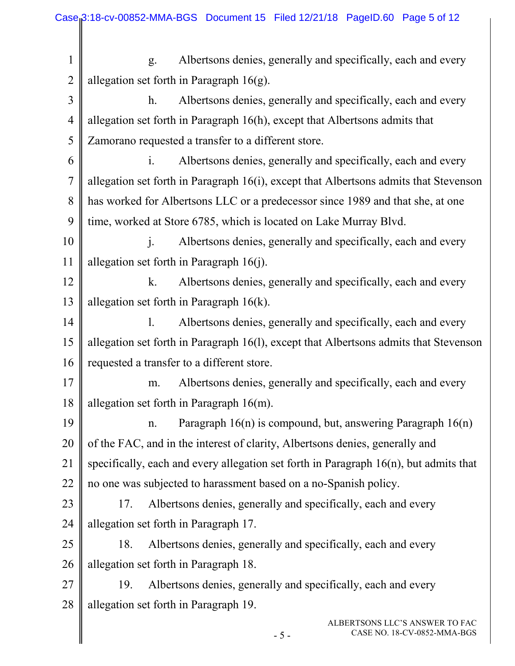1 2 3 4 5 6 7 8 9 10 11 12 13 14 15 16 17 18 19 20 21 22 23 24 25 26 27 28 g. Albertsons denies, generally and specifically, each and every allegation set forth in Paragraph  $16(g)$ . h. Albertsons denies, generally and specifically, each and every allegation set forth in Paragraph 16(h), except that Albertsons admits that Zamorano requested a transfer to a different store. i. Albertsons denies, generally and specifically, each and every allegation set forth in Paragraph 16(i), except that Albertsons admits that Stevenson has worked for Albertsons LLC or a predecessor since 1989 and that she, at one time, worked at Store 6785, which is located on Lake Murray Blvd. j. Albertsons denies, generally and specifically, each and every allegation set forth in Paragraph 16(j). k. Albertsons denies, generally and specifically, each and every allegation set forth in Paragraph 16(k). l. Albertsons denies, generally and specifically, each and every allegation set forth in Paragraph 16(l), except that Albertsons admits that Stevenson requested a transfer to a different store. m. Albertsons denies, generally and specifically, each and every allegation set forth in Paragraph 16(m). n. Paragraph 16(n) is compound, but, answering Paragraph 16(n) of the FAC, and in the interest of clarity, Albertsons denies, generally and specifically, each and every allegation set forth in Paragraph 16(n), but admits that no one was subjected to harassment based on a no-Spanish policy. 17. Albertsons denies, generally and specifically, each and every allegation set forth in Paragraph 17. 18. Albertsons denies, generally and specifically, each and every allegation set forth in Paragraph 18. 19. Albertsons denies, generally and specifically, each and every allegation set forth in Paragraph 19.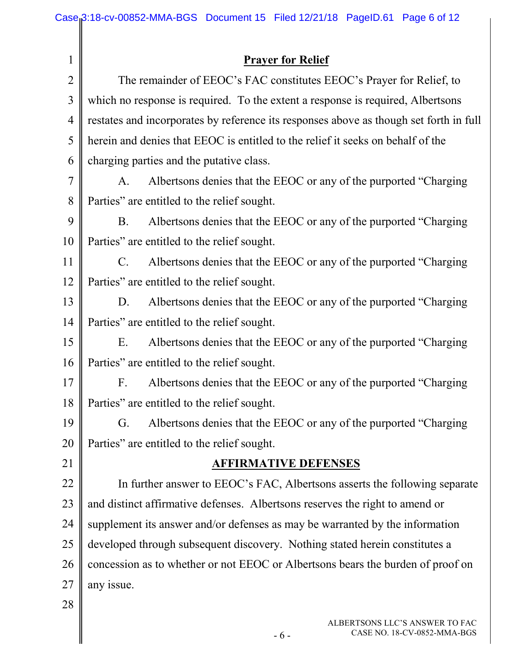|                | Case <sub>1</sub> 3:18-cv-00852-MMA-BGS Document 15 Filed 12/21/18 PageID.61 Page 6 of 12 |  |  |  |  |
|----------------|-------------------------------------------------------------------------------------------|--|--|--|--|
|                |                                                                                           |  |  |  |  |
| $\mathbf 1$    | <b>Prayer for Relief</b>                                                                  |  |  |  |  |
| $\overline{2}$ | The remainder of EEOC's FAC constitutes EEOC's Prayer for Relief, to                      |  |  |  |  |
| 3              | which no response is required. To the extent a response is required, Albertsons           |  |  |  |  |
| 4              | restates and incorporates by reference its responses above as though set forth in full    |  |  |  |  |
| 5              | herein and denies that EEOC is entitled to the relief it seeks on behalf of the           |  |  |  |  |
| 6              | charging parties and the putative class.                                                  |  |  |  |  |
| 7              | Albertsons denies that the EEOC or any of the purported "Charging"<br>A.                  |  |  |  |  |
| 8              | Parties" are entitled to the relief sought.                                               |  |  |  |  |
| 9              | Albertsons denies that the EEOC or any of the purported "Charging"<br><b>B.</b>           |  |  |  |  |
| 10             | Parties" are entitled to the relief sought.                                               |  |  |  |  |
| 11             | Albertsons denies that the EEOC or any of the purported "Charging"<br>$C_{\cdot}$         |  |  |  |  |
| 12             | Parties" are entitled to the relief sought.                                               |  |  |  |  |
| 13             | Albertsons denies that the EEOC or any of the purported "Charging"<br>D.                  |  |  |  |  |
| 14             | Parties" are entitled to the relief sought.                                               |  |  |  |  |
| 15             | Albertsons denies that the EEOC or any of the purported "Charging"<br>E.                  |  |  |  |  |
| 16             | Parties" are entitled to the relief sought.                                               |  |  |  |  |
| 17             | F. Albertsons denies that the EEOC or any of the purported "Charging"                     |  |  |  |  |
| 18             | Parties" are entitled to the relief sought.                                               |  |  |  |  |
| 19             | Albertsons denies that the EEOC or any of the purported "Charging"<br>G.                  |  |  |  |  |
| 20             | Parties" are entitled to the relief sought.                                               |  |  |  |  |
| 21             | <b>AFFIRMATIVE DEFENSES</b>                                                               |  |  |  |  |
| 22             | In further answer to EEOC's FAC, Albertsons asserts the following separate                |  |  |  |  |
| 23             | and distinct affirmative defenses. Albertsons reserves the right to amend or              |  |  |  |  |
| 24             | supplement its answer and/or defenses as may be warranted by the information              |  |  |  |  |
| 25             | developed through subsequent discovery. Nothing stated herein constitutes a               |  |  |  |  |
| 26             | concession as to whether or not EEOC or Albertsons bears the burden of proof on           |  |  |  |  |
| 27             | any issue.                                                                                |  |  |  |  |
| 28             |                                                                                           |  |  |  |  |
|                | ALBERTSONS LLC'S ANSWER TO FAC                                                            |  |  |  |  |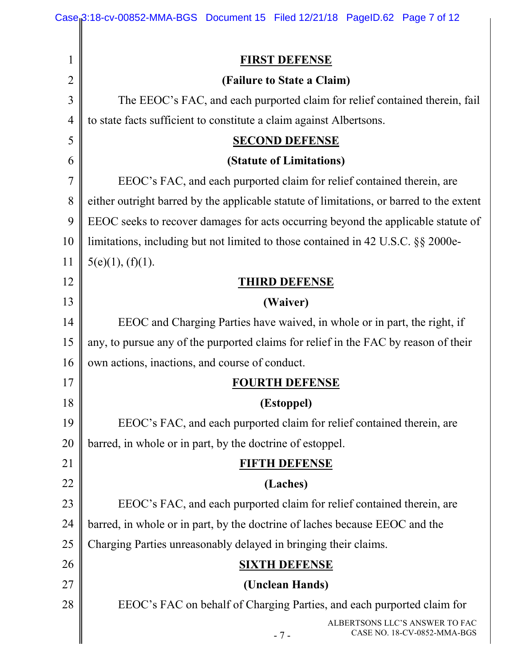| 1              | <b>FIRST DEFENSE</b>                                                                     |  |  |
|----------------|------------------------------------------------------------------------------------------|--|--|
| $\overline{2}$ | (Failure to State a Claim)                                                               |  |  |
| 3              | The EEOC's FAC, and each purported claim for relief contained therein, fail              |  |  |
| 4              | to state facts sufficient to constitute a claim against Albertsons.                      |  |  |
| 5              | <b>SECOND DEFENSE</b>                                                                    |  |  |
| 6              | (Statute of Limitations)                                                                 |  |  |
| 7              | EEOC's FAC, and each purported claim for relief contained therein, are                   |  |  |
| 8              | either outright barred by the applicable statute of limitations, or barred to the extent |  |  |
| 9              | EEOC seeks to recover damages for acts occurring beyond the applicable statute of        |  |  |
| 10             | limitations, including but not limited to those contained in 42 U.S.C. §§ 2000e-         |  |  |
| 11             | 5(e)(1), (f)(1).                                                                         |  |  |
| 12             | <b>THIRD DEFENSE</b>                                                                     |  |  |
| 13             | (Waiver)                                                                                 |  |  |
| 14             | EEOC and Charging Parties have waived, in whole or in part, the right, if                |  |  |
| 15             | any, to pursue any of the purported claims for relief in the FAC by reason of their      |  |  |
| 16             | own actions, inactions, and course of conduct.                                           |  |  |
| 17             | <b>FOURTH DEFENSE</b>                                                                    |  |  |
| 18             | (Estoppel)                                                                               |  |  |
| 19             | EEOC's FAC, and each purported claim for relief contained therein, are                   |  |  |
| <b>20</b>      | barred, in whole or in part, by the doctrine of estoppel.                                |  |  |
| 21             | FIFTH DEFENSE                                                                            |  |  |
| 22             | (Laches)                                                                                 |  |  |
| 23             | EEOC's FAC, and each purported claim for relief contained therein, are                   |  |  |
| 24             | barred, in whole or in part, by the doctrine of laches because EEOC and the              |  |  |
| 25             | Charging Parties unreasonably delayed in bringing their claims.                          |  |  |
| 26             | <b>SIXTH DEFENSE</b>                                                                     |  |  |
| 27             | (Unclean Hands)                                                                          |  |  |
| 28             | EEOC's FAC on behalf of Charging Parties, and each purported claim for                   |  |  |
|                | ALBERTSONS LLC'S ANSWER TO FAC<br>CASE NO. 18-CV-0852-MMA-BGS                            |  |  |
|                | $-7-$                                                                                    |  |  |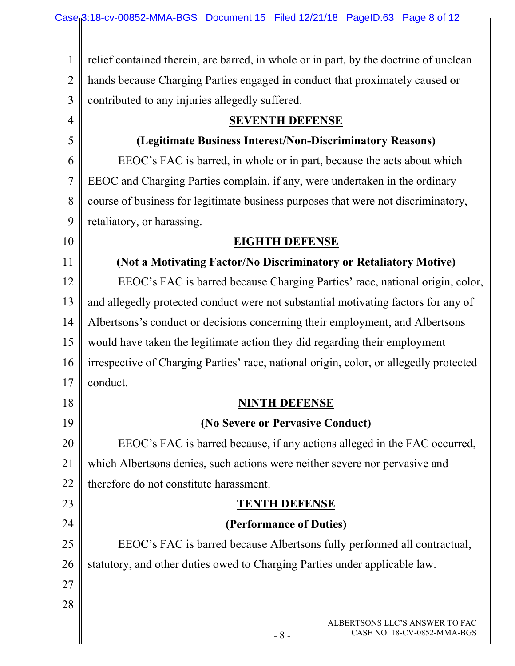1 2 3 4 5 6 7 8 9 10 11 12 13 14 15 16 17 18 19 20 21 22 23 24 25 relief contained therein, are barred, in whole or in part, by the doctrine of unclean hands because Charging Parties engaged in conduct that proximately caused or contributed to any injuries allegedly suffered. **SEVENTH DEFENSE (Legitimate Business Interest/Non-Discriminatory Reasons)** EEOC's FAC is barred, in whole or in part, because the acts about which EEOC and Charging Parties complain, if any, were undertaken in the ordinary course of business for legitimate business purposes that were not discriminatory, retaliatory, or harassing. **EIGHTH DEFENSE (Not a Motivating Factor/No Discriminatory or Retaliatory Motive)** EEOC's FAC is barred because Charging Parties' race, national origin, color, and allegedly protected conduct were not substantial motivating factors for any of Albertsons's conduct or decisions concerning their employment, and Albertsons would have taken the legitimate action they did regarding their employment irrespective of Charging Parties' race, national origin, color, or allegedly protected conduct. **NINTH DEFENSE (No Severe or Pervasive Conduct)** EEOC's FAC is barred because, if any actions alleged in the FAC occurred, which Albertsons denies, such actions were neither severe nor pervasive and therefore do not constitute harassment. **TENTH DEFENSE (Performance of Duties)** EEOC's FAC is barred because Albertsons fully performed all contractual,

26 statutory, and other duties owed to Charging Parties under applicable law.

27 28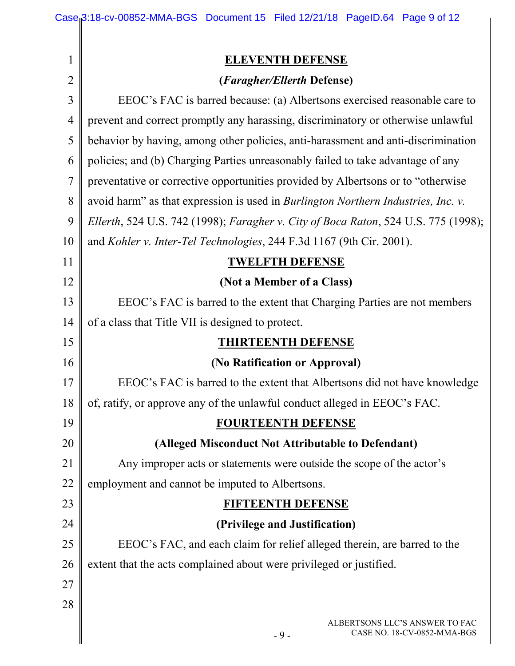|                | Case <sub>i</sub> 3:18-cv-00852-MMA-BGS Document 15 Filed 12/21/18 PageID.64 Page 9 of 12 |  |  |  |
|----------------|-------------------------------------------------------------------------------------------|--|--|--|
|                |                                                                                           |  |  |  |
| $\mathbf{1}$   | <b>ELEVENTH DEFENSE</b>                                                                   |  |  |  |
| $\overline{2}$ | (Faragher/Ellerth Defense)                                                                |  |  |  |
| 3              | EEOC's FAC is barred because: (a) Albertsons exercised reasonable care to                 |  |  |  |
| $\overline{4}$ | prevent and correct promptly any harassing, discriminatory or otherwise unlawful          |  |  |  |
| 5              | behavior by having, among other policies, anti-harassment and anti-discrimination         |  |  |  |
| 6              | policies; and (b) Charging Parties unreasonably failed to take advantage of any           |  |  |  |
| $\overline{7}$ | preventative or corrective opportunities provided by Albertsons or to "otherwise"         |  |  |  |
| 8              | avoid harm" as that expression is used in Burlington Northern Industries, Inc. v.         |  |  |  |
| 9              | Ellerth, 524 U.S. 742 (1998); Faragher v. City of Boca Raton, 524 U.S. 775 (1998);        |  |  |  |
| 10             | and Kohler v. Inter-Tel Technologies, 244 F.3d 1167 (9th Cir. 2001).                      |  |  |  |
| 11             | <b>TWELFTH DEFENSE</b>                                                                    |  |  |  |
| 12             | (Not a Member of a Class)                                                                 |  |  |  |
| 13             | EEOC's FAC is barred to the extent that Charging Parties are not members                  |  |  |  |
| 14             | of a class that Title VII is designed to protect.                                         |  |  |  |
| 15             | <b>THIRTEENTH DEFENSE</b>                                                                 |  |  |  |
| 16             | (No Ratification or Approval)                                                             |  |  |  |
| 17             | EEOC's FAC is barred to the extent that Albertsons did not have knowledge                 |  |  |  |
| 18             | of, ratify, or approve any of the unlawful conduct alleged in EEOC's FAC.                 |  |  |  |
| 19             | <b>FOURTEENTH DEFENSE</b>                                                                 |  |  |  |
| 20             | (Alleged Misconduct Not Attributable to Defendant)                                        |  |  |  |
| 21             | Any improper acts or statements were outside the scope of the actor's                     |  |  |  |
| 22             | employment and cannot be imputed to Albertsons.                                           |  |  |  |
| 23             | FIFTEENTH DEFENSE                                                                         |  |  |  |
| 24             | (Privilege and Justification)                                                             |  |  |  |
| 25             | EEOC's FAC, and each claim for relief alleged therein, are barred to the                  |  |  |  |
| 26             | extent that the acts complained about were privileged or justified.                       |  |  |  |
| 27             |                                                                                           |  |  |  |
| 28             |                                                                                           |  |  |  |
|                | ALBERTSONS LLC'S ANSWER TO FAC<br>CASE NO. 18-CV-0852-MMA-BGS                             |  |  |  |
|                | $-9-$                                                                                     |  |  |  |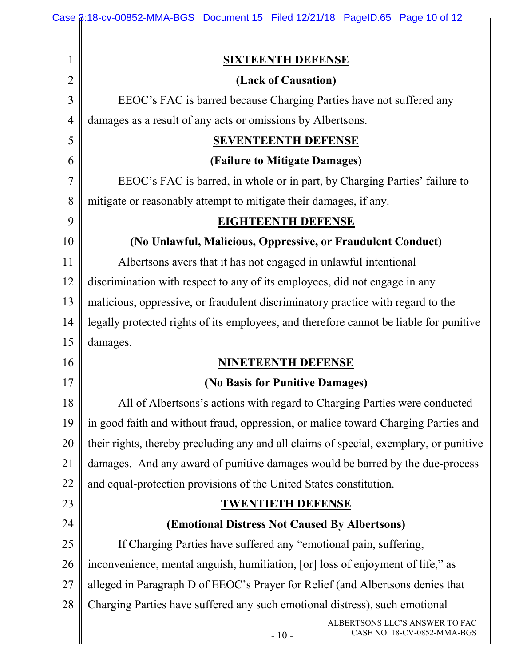|                | Case \$:18-cv-00852-MMA-BGS Document 15 Filed 12/21/18 PageID.65 Page 10 of 12         |  |  |  |  |
|----------------|----------------------------------------------------------------------------------------|--|--|--|--|
|                |                                                                                        |  |  |  |  |
| $\mathbf 1$    | <b>SIXTEENTH DEFENSE</b>                                                               |  |  |  |  |
| $\overline{2}$ | (Lack of Causation)                                                                    |  |  |  |  |
| 3              | EEOC's FAC is barred because Charging Parties have not suffered any                    |  |  |  |  |
| $\overline{4}$ | damages as a result of any acts or omissions by Albertsons.                            |  |  |  |  |
| 5              | <b>SEVENTEENTH DEFENSE</b>                                                             |  |  |  |  |
| 6              | (Failure to Mitigate Damages)                                                          |  |  |  |  |
| $\overline{7}$ | EEOC's FAC is barred, in whole or in part, by Charging Parties' failure to             |  |  |  |  |
| 8              | mitigate or reasonably attempt to mitigate their damages, if any.                      |  |  |  |  |
| 9              | <b>EIGHTEENTH DEFENSE</b>                                                              |  |  |  |  |
| 10             | (No Unlawful, Malicious, Oppressive, or Fraudulent Conduct)                            |  |  |  |  |
| 11             | Albertsons avers that it has not engaged in unlawful intentional                       |  |  |  |  |
| 12             | discrimination with respect to any of its employees, did not engage in any             |  |  |  |  |
| 13             | malicious, oppressive, or fraudulent discriminatory practice with regard to the        |  |  |  |  |
| 14             | legally protected rights of its employees, and therefore cannot be liable for punitive |  |  |  |  |
| 15             | damages.                                                                               |  |  |  |  |
| 16             | <b>NINETEENTH DEFENSE</b>                                                              |  |  |  |  |
| 17             | (No Basis for Punitive Damages)                                                        |  |  |  |  |
| 18             | All of Albertsons's actions with regard to Charging Parties were conducted             |  |  |  |  |
| 19             | in good faith and without fraud, oppression, or malice toward Charging Parties and     |  |  |  |  |
| 20             | their rights, thereby precluding any and all claims of special, exemplary, or punitive |  |  |  |  |
| 21             | damages. And any award of punitive damages would be barred by the due-process          |  |  |  |  |
| 22             | and equal-protection provisions of the United States constitution.                     |  |  |  |  |
| 23             | <b>TWENTIETH DEFENSE</b>                                                               |  |  |  |  |
| 24             | (Emotional Distress Not Caused By Albertsons)                                          |  |  |  |  |
| 25             | If Charging Parties have suffered any "emotional pain, suffering,                      |  |  |  |  |
| 26             | inconvenience, mental anguish, humiliation, [or] loss of enjoyment of life," as        |  |  |  |  |
| 27             | alleged in Paragraph D of EEOC's Prayer for Relief (and Albertsons denies that         |  |  |  |  |
| 28             | Charging Parties have suffered any such emotional distress), such emotional            |  |  |  |  |
|                | ALBERTSONS LLC'S ANSWER TO FAC<br>CASE NO. 18-CV-0852-MMA-BGS<br>$-10-$                |  |  |  |  |
|                |                                                                                        |  |  |  |  |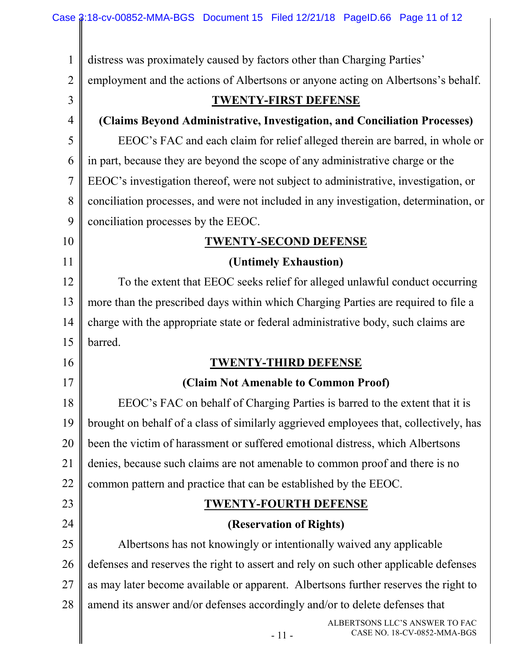II

| $\mathbf{1}$   | distress was proximately caused by factors other than Charging Parties'               |  |
|----------------|---------------------------------------------------------------------------------------|--|
| $\overline{2}$ | employment and the actions of Albertsons or anyone acting on Albertsons's behalf.     |  |
| 3              | <b>TWENTY-FIRST DEFENSE</b>                                                           |  |
| $\overline{4}$ | (Claims Beyond Administrative, Investigation, and Conciliation Processes)             |  |
| 5              | EEOC's FAC and each claim for relief alleged therein are barred, in whole or          |  |
| 6              | in part, because they are beyond the scope of any administrative charge or the        |  |
| $\overline{7}$ | EEOC's investigation thereof, were not subject to administrative, investigation, or   |  |
| 8              | conciliation processes, and were not included in any investigation, determination, or |  |
| 9              | conciliation processes by the EEOC.                                                   |  |
| 10             | <b>TWENTY-SECOND DEFENSE</b>                                                          |  |
| 11             | (Untimely Exhaustion)                                                                 |  |
| 12             | To the extent that EEOC seeks relief for alleged unlawful conduct occurring           |  |
| 13             | more than the prescribed days within which Charging Parties are required to file a    |  |
| 14             | charge with the appropriate state or federal administrative body, such claims are     |  |
| 15             | barred.                                                                               |  |
|                |                                                                                       |  |
| 16             | <b>TWENTY-THIRD DEFENSE</b>                                                           |  |
| 17             | (Claim Not Amenable to Common Proof)                                                  |  |
| 18             | EEOC's FAC on behalf of Charging Parties is barred to the extent that it is           |  |
| 19             | brought on behalf of a class of similarly aggrieved employees that, collectively, has |  |
| 20             | been the victim of harassment or suffered emotional distress, which Albertsons        |  |
| 21             | denies, because such claims are not amenable to common proof and there is no          |  |
| 22             | common pattern and practice that can be established by the EEOC.                      |  |
| 23             | <b>TWENTY-FOURTH DEFENSE</b>                                                          |  |
| 24             | (Reservation of Rights)                                                               |  |
| 25             | Albertsons has not knowingly or intentionally waived any applicable                   |  |
| 26             | defenses and reserves the right to assert and rely on such other applicable defenses  |  |
| 27             | as may later become available or apparent. Albertsons further reserves the right to   |  |
| 28             | amend its answer and/or defenses accordingly and/or to delete defenses that           |  |